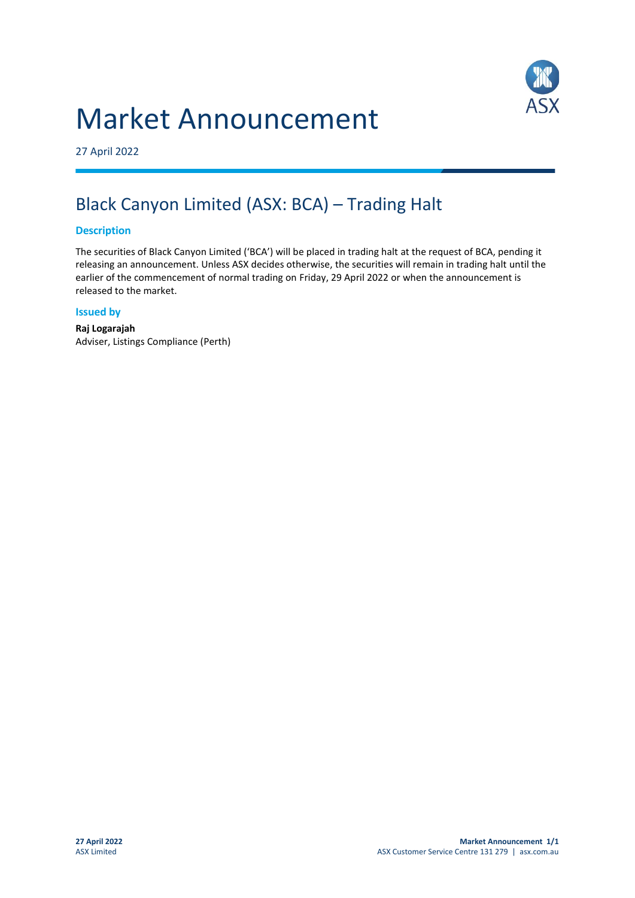# Market Announcement



27 April 2022

# Black Canyon Limited (ASX: BCA) – Trading Halt

### **Description**

The securities of Black Canyon Limited ('BCA') will be placed in trading halt at the request of BCA, pending it releasing an announcement. Unless ASX decides otherwise, the securities will remain in trading halt until the earlier of the commencement of normal trading on Friday, 29 April 2022 or when the announcement is released to the market.

#### **Issued by**

**Raj Logarajah** Adviser, Listings Compliance (Perth)